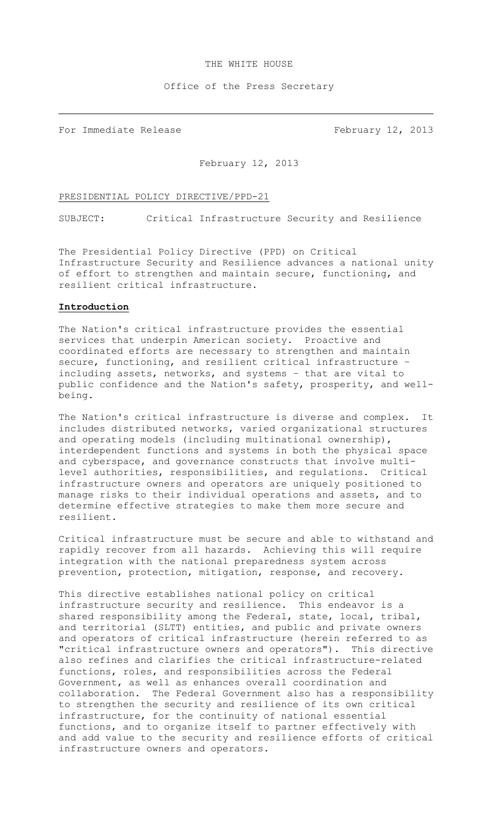### THE WHITE HOUSE

#### Office of the Press Secretary

For Immediate Release February 12, 2013

February 12, 2013

#### PRESIDENTIAL POLICY DIRECTIVE/PPD-21

SUBJECT: Critical Infrastructure Security and Resilience

The Presidential Policy Directive (PPD) on Critical Infrastructure Security and Resilience advances a national unity of effort to strengthen and maintain secure, functioning, and resilient critical infrastructure.

### **Introduction**

The Nation's critical infrastructure provides the essential services that underpin American society. Proactive and coordinated efforts are necessary to strengthen and maintain secure, functioning, and resilient critical infrastructure – including assets, networks, and systems – that are vital to public confidence and the Nation's safety, prosperity, and wellbeing.

The Nation's critical infrastructure is diverse and complex. It includes distributed networks, varied organizational structures and operating models (including multinational ownership), interdependent functions and systems in both the physical space and cyberspace, and governance constructs that involve multilevel authorities, responsibilities, and regulations. Critical infrastructure owners and operators are uniquely positioned to manage risks to their individual operations and assets, and to determine effective strategies to make them more secure and resilient.

Critical infrastructure must be secure and able to withstand and rapidly recover from all hazards. Achieving this will require integration with the national preparedness system across prevention, protection, mitigation, response, and recovery.

This directive establishes national policy on critical infrastructure security and resilience. This endeavor is a shared responsibility among the Federal, state, local, tribal, and territorial (SLTT) entities, and public and private owners and operators of critical infrastructure (herein referred to as "critical infrastructure owners and operators"). This directive also refines and clarifies the critical infrastructure-related functions, roles, and responsibilities across the Federal Government, as well as enhances overall coordination and collaboration. The Federal Government also has a responsibility to strengthen the security and resilience of its own critical infrastructure, for the continuity of national essential functions, and to organize itself to partner effectively with and add value to the security and resilience efforts of critical infrastructure owners and operators.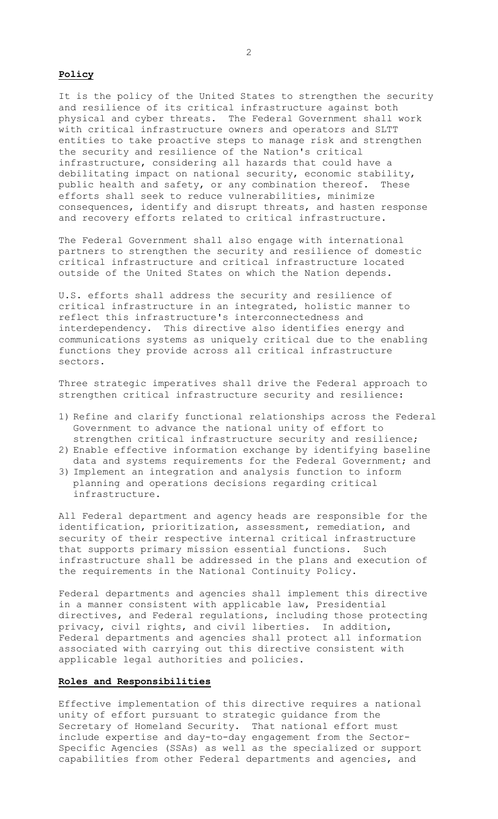# **Policy**

It is the policy of the United States to strengthen the security and resilience of its critical infrastructure against both physical and cyber threats. The Federal Government shall work with critical infrastructure owners and operators and SLTT entities to take proactive steps to manage risk and strengthen the security and resilience of the Nation's critical infrastructure, considering all hazards that could have a debilitating impact on national security, economic stability, public health and safety, or any combination thereof. These efforts shall seek to reduce vulnerabilities, minimize consequences, identify and disrupt threats, and hasten response and recovery efforts related to critical infrastructure.

The Federal Government shall also engage with international partners to strengthen the security and resilience of domestic critical infrastructure and critical infrastructure located outside of the United States on which the Nation depends.

U.S. efforts shall address the security and resilience of critical infrastructure in an integrated, holistic manner to reflect this infrastructure's interconnectedness and interdependency. This directive also identifies energy and communications systems as uniquely critical due to the enabling functions they provide across all critical infrastructure sectors.

Three strategic imperatives shall drive the Federal approach to strengthen critical infrastructure security and resilience:

- 1) Refine and clarify functional relationships across the Federal Government to advance the national unity of effort to strengthen critical infrastructure security and resilience;
- 2) Enable effective information exchange by identifying baseline data and systems requirements for the Federal Government; and
- 3) Implement an integration and analysis function to inform planning and operations decisions regarding critical infrastructure.

All Federal department and agency heads are responsible for the identification, prioritization, assessment, remediation, and security of their respective internal critical infrastructure that supports primary mission essential functions. Such infrastructure shall be addressed in the plans and execution of the requirements in the National Continuity Policy.

Federal departments and agencies shall implement this directive in a manner consistent with applicable law, Presidential directives, and Federal regulations, including those protecting privacy, civil rights, and civil liberties. In addition, Federal departments and agencies shall protect all information associated with carrying out this directive consistent with applicable legal authorities and policies.

### **Roles and Responsibilities**

Effective implementation of this directive requires a national unity of effort pursuant to strategic guidance from the Secretary of Homeland Security. That national effort must include expertise and day-to-day engagement from the Sector-Specific Agencies (SSAs) as well as the specialized or support capabilities from other Federal departments and agencies, and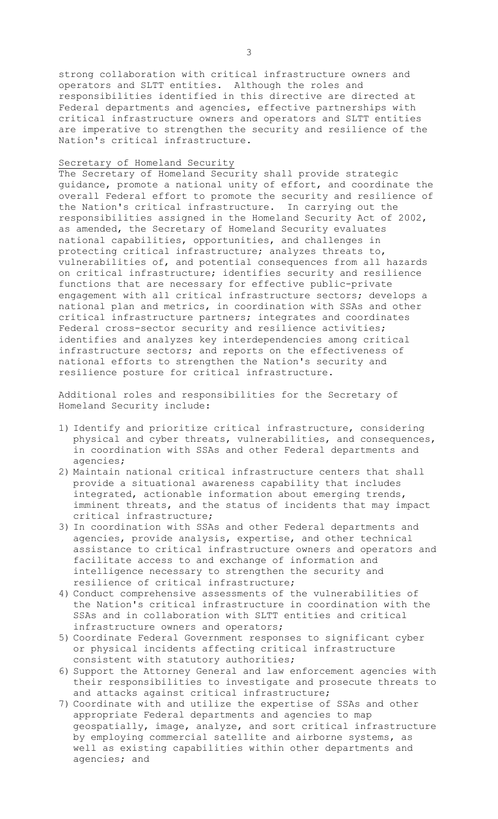strong collaboration with critical infrastructure owners and operators and SLTT entities. Although the roles and responsibilities identified in this directive are directed at Federal departments and agencies, effective partnerships with critical infrastructure owners and operators and SLTT entities are imperative to strengthen the security and resilience of the Nation's critical infrastructure.

### Secretary of Homeland Security

The Secretary of Homeland Security shall provide strategic guidance, promote a national unity of effort, and coordinate the overall Federal effort to promote the security and resilience of the Nation's critical infrastructure. In carrying out the responsibilities assigned in the Homeland Security Act of 2002, as amended, the Secretary of Homeland Security evaluates national capabilities, opportunities, and challenges in protecting critical infrastructure; analyzes threats to, vulnerabilities of, and potential consequences from all hazards on critical infrastructure; identifies security and resilience functions that are necessary for effective public-private engagement with all critical infrastructure sectors; develops a national plan and metrics, in coordination with SSAs and other critical infrastructure partners; integrates and coordinates Federal cross-sector security and resilience activities; identifies and analyzes key interdependencies among critical infrastructure sectors; and reports on the effectiveness of national efforts to strengthen the Nation's security and resilience posture for critical infrastructure.

Additional roles and responsibilities for the Secretary of Homeland Security include:

- 1) Identify and prioritize critical infrastructure, considering physical and cyber threats, vulnerabilities, and consequences, in coordination with SSAs and other Federal departments and agencies;
- 2) Maintain national critical infrastructure centers that shall provide a situational awareness capability that includes integrated, actionable information about emerging trends, imminent threats, and the status of incidents that may impact critical infrastructure;
- 3) In coordination with SSAs and other Federal departments and agencies, provide analysis, expertise, and other technical assistance to critical infrastructure owners and operators and facilitate access to and exchange of information and intelligence necessary to strengthen the security and resilience of critical infrastructure;
- 4) Conduct comprehensive assessments of the vulnerabilities of the Nation's critical infrastructure in coordination with the SSAs and in collaboration with SLTT entities and critical infrastructure owners and operators;
- 5) Coordinate Federal Government responses to significant cyber or physical incidents affecting critical infrastructure consistent with statutory authorities;
- 6) Support the Attorney General and law enforcement agencies with their responsibilities to investigate and prosecute threats to and attacks against critical infrastructure;
- 7) Coordinate with and utilize the expertise of SSAs and other appropriate Federal departments and agencies to map geospatially, image, analyze, and sort critical infrastructure by employing commercial satellite and airborne systems, as well as existing capabilities within other departments and agencies; and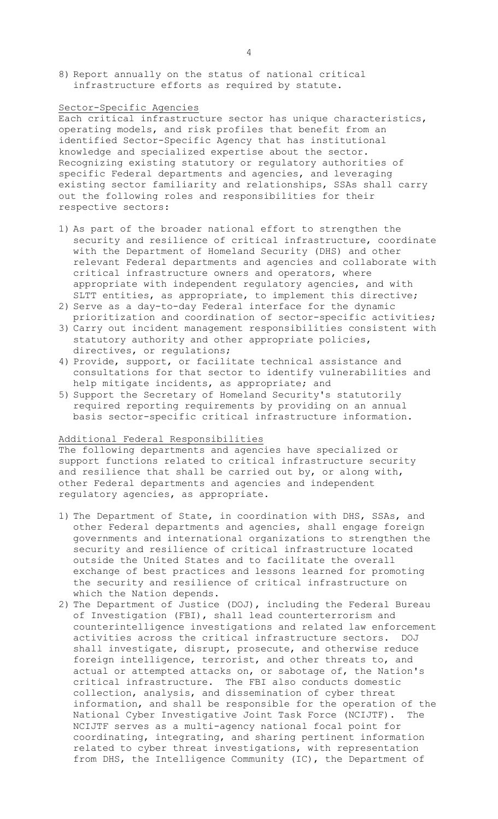8) Report annually on the status of national critical infrastructure efforts as required by statute.

#### Sector-Specific Agencies

Each critical infrastructure sector has unique characteristics, operating models, and risk profiles that benefit from an identified Sector-Specific Agency that has institutional knowledge and specialized expertise about the sector. Recognizing existing statutory or regulatory authorities of specific Federal departments and agencies, and leveraging existing sector familiarity and relationships, SSAs shall carry out the following roles and responsibilities for their respective sectors:

- 1) As part of the broader national effort to strengthen the security and resilience of critical infrastructure, coordinate with the Department of Homeland Security (DHS) and other relevant Federal departments and agencies and collaborate with critical infrastructure owners and operators, where appropriate with independent regulatory agencies, and with SLTT entities, as appropriate, to implement this directive;
- 2) Serve as a day-to-day Federal interface for the dynamic prioritization and coordination of sector-specific activities;
- 3) Carry out incident management responsibilities consistent with statutory authority and other appropriate policies, directives, or regulations;
- 4) Provide, support, or facilitate technical assistance and consultations for that sector to identify vulnerabilities and help mitigate incidents, as appropriate; and
- 5) Support the Secretary of Homeland Security's statutorily required reporting requirements by providing on an annual basis sector-specific critical infrastructure information.

### Additional Federal Responsibilities

The following departments and agencies have specialized or support functions related to critical infrastructure security and resilience that shall be carried out by, or along with, other Federal departments and agencies and independent regulatory agencies, as appropriate.

- 1) The Department of State, in coordination with DHS, SSAs, and other Federal departments and agencies, shall engage foreign governments and international organizations to strengthen the security and resilience of critical infrastructure located outside the United States and to facilitate the overall exchange of best practices and lessons learned for promoting the security and resilience of critical infrastructure on which the Nation depends.
- 2) The Department of Justice (DOJ), including the Federal Bureau of Investigation (FBI), shall lead counterterrorism and counterintelligence investigations and related law enforcement activities across the critical infrastructure sectors. DOJ shall investigate, disrupt, prosecute, and otherwise reduce foreign intelligence, terrorist, and other threats to, and actual or attempted attacks on, or sabotage of, the Nation's critical infrastructure. The FBI also conducts domestic collection, analysis, and dissemination of cyber threat information, and shall be responsible for the operation of the National Cyber Investigative Joint Task Force (NCIJTF). The NCIJTF serves as a multi-agency national focal point for coordinating, integrating, and sharing pertinent information related to cyber threat investigations, with representation from DHS, the Intelligence Community (IC), the Department of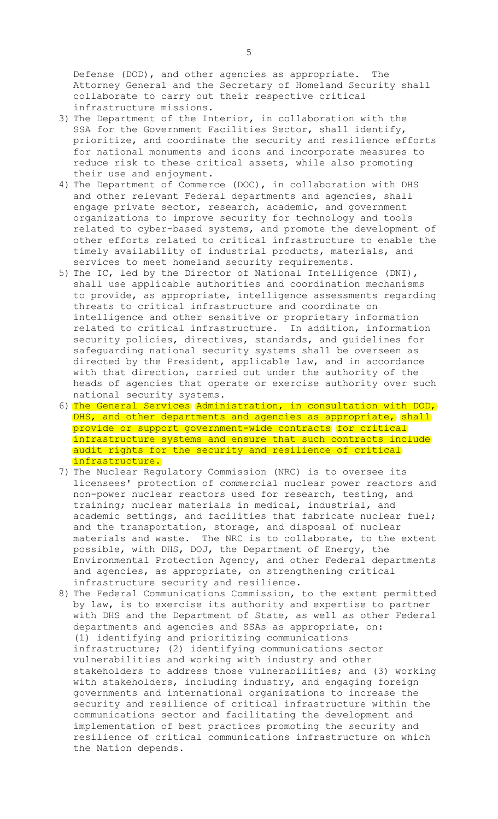Defense (DOD), and other agencies as appropriate. The Attorney General and the Secretary of Homeland Security shall collaborate to carry out their respective critical infrastructure missions.

- 3) The Department of the Interior, in collaboration with the SSA for the Government Facilities Sector, shall identify, prioritize, and coordinate the security and resilience efforts for national monuments and icons and incorporate measures to reduce risk to these critical assets, while also promoting their use and enjoyment.
- 4) The Department of Commerce (DOC), in collaboration with DHS and other relevant Federal departments and agencies, shall engage private sector, research, academic, and government organizations to improve security for technology and tools related to cyber-based systems, and promote the development of other efforts related to critical infrastructure to enable the timely availability of industrial products, materials, and services to meet homeland security requirements.
- 5) The IC, led by the Director of National Intelligence (DNI), shall use applicable authorities and coordination mechanisms to provide, as appropriate, intelligence assessments regarding threats to critical infrastructure and coordinate on intelligence and other sensitive or proprietary information related to critical infrastructure. In addition, information security policies, directives, standards, and guidelines for safeguarding national security systems shall be overseen as directed by the President, applicable law, and in accordance with that direction, carried out under the authority of the heads of agencies that operate or exercise authority over such national security systems.
- 6) The General Services Administration, in consultation with DOD, DHS, and other departments and agencies as appropriate, shall provide or support government-wide contracts for critical infrastructure systems and ensure that such contracts include audit rights for the security and resilience of critical infrastructure.
- 7) The Nuclear Regulatory Commission (NRC) is to oversee its licensees' protection of commercial nuclear power reactors and non-power nuclear reactors used for research, testing, and training; nuclear materials in medical, industrial, and academic settings, and facilities that fabricate nuclear fuel; and the transportation, storage, and disposal of nuclear materials and waste. The NRC is to collaborate, to the extent possible, with DHS, DOJ, the Department of Energy, the Environmental Protection Agency, and other Federal departments and agencies, as appropriate, on strengthening critical infrastructure security and resilience.
- 8) The Federal Communications Commission, to the extent permitted by law, is to exercise its authority and expertise to partner with DHS and the Department of State, as well as other Federal departments and agencies and SSAs as appropriate, on: (1) identifying and prioritizing communications infrastructure; (2) identifying communications sector vulnerabilities and working with industry and other stakeholders to address those vulnerabilities; and (3) working with stakeholders, including industry, and engaging foreign governments and international organizations to increase the security and resilience of critical infrastructure within the communications sector and facilitating the development and implementation of best practices promoting the security and resilience of critical communications infrastructure on which the Nation depends.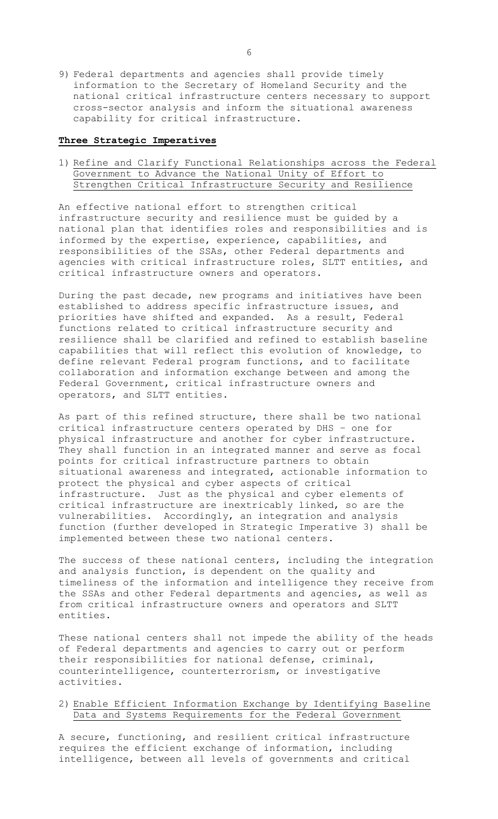9) Federal departments and agencies shall provide timely information to the Secretary of Homeland Security and the national critical infrastructure centers necessary to support cross-sector analysis and inform the situational awareness capability for critical infrastructure.

#### **Three Strategic Imperatives**

1) Refine and Clarify Functional Relationships across the Federal Government to Advance the National Unity of Effort to Strengthen Critical Infrastructure Security and Resilience

An effective national effort to strengthen critical infrastructure security and resilience must be guided by a national plan that identifies roles and responsibilities and is informed by the expertise, experience, capabilities, and responsibilities of the SSAs, other Federal departments and agencies with critical infrastructure roles, SLTT entities, and critical infrastructure owners and operators.

During the past decade, new programs and initiatives have been established to address specific infrastructure issues, and priorities have shifted and expanded. As a result, Federal functions related to critical infrastructure security and resilience shall be clarified and refined to establish baseline capabilities that will reflect this evolution of knowledge, to define relevant Federal program functions, and to facilitate collaboration and information exchange between and among the Federal Government, critical infrastructure owners and operators, and SLTT entities.

As part of this refined structure, there shall be two national critical infrastructure centers operated by DHS – one for physical infrastructure and another for cyber infrastructure. They shall function in an integrated manner and serve as focal points for critical infrastructure partners to obtain situational awareness and integrated, actionable information to protect the physical and cyber aspects of critical infrastructure. Just as the physical and cyber elements of critical infrastructure are inextricably linked, so are the vulnerabilities. Accordingly, an integration and analysis function (further developed in Strategic Imperative 3) shall be implemented between these two national centers.

The success of these national centers, including the integration and analysis function, is dependent on the quality and timeliness of the information and intelligence they receive from the SSAs and other Federal departments and agencies, as well as from critical infrastructure owners and operators and SLTT entities.

These national centers shall not impede the ability of the heads of Federal departments and agencies to carry out or perform their responsibilities for national defense, criminal, counterintelligence, counterterrorism, or investigative activities.

## 2) Enable Efficient Information Exchange by Identifying Baseline Data and Systems Requirements for the Federal Government

A secure, functioning, and resilient critical infrastructure requires the efficient exchange of information, including intelligence, between all levels of governments and critical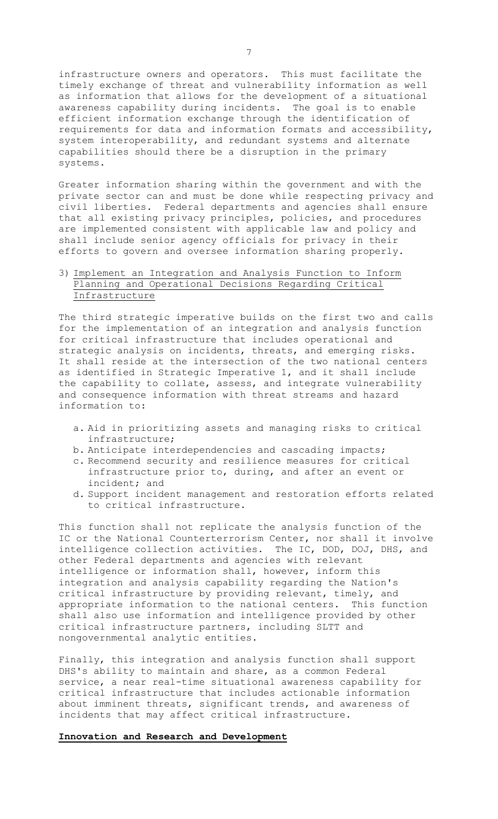infrastructure owners and operators. This must facilitate the timely exchange of threat and vulnerability information as well as information that allows for the development of a situational awareness capability during incidents. The goal is to enable efficient information exchange through the identification of requirements for data and information formats and accessibility, system interoperability, and redundant systems and alternate capabilities should there be a disruption in the primary systems.

Greater information sharing within the government and with the private sector can and must be done while respecting privacy and civil liberties. Federal departments and agencies shall ensure that all existing privacy principles, policies, and procedures are implemented consistent with applicable law and policy and shall include senior agency officials for privacy in their efforts to govern and oversee information sharing properly.

# 3) Implement an Integration and Analysis Function to Inform Planning and Operational Decisions Regarding Critical Infrastructure

The third strategic imperative builds on the first two and calls for the implementation of an integration and analysis function for critical infrastructure that includes operational and strategic analysis on incidents, threats, and emerging risks. It shall reside at the intersection of the two national centers as identified in Strategic Imperative 1, and it shall include the capability to collate, assess, and integrate vulnerability and consequence information with threat streams and hazard information to:

- a. Aid in prioritizing assets and managing risks to critical infrastructure;
- b. Anticipate interdependencies and cascading impacts;
- c. Recommend security and resilience measures for critical infrastructure prior to, during, and after an event or incident; and
- d. Support incident management and restoration efforts related to critical infrastructure.

This function shall not replicate the analysis function of the IC or the National Counterterrorism Center, nor shall it involve intelligence collection activities. The IC, DOD, DOJ, DHS, and other Federal departments and agencies with relevant intelligence or information shall, however, inform this integration and analysis capability regarding the Nation's critical infrastructure by providing relevant, timely, and appropriate information to the national centers. This function shall also use information and intelligence provided by other critical infrastructure partners, including SLTT and nongovernmental analytic entities.

Finally, this integration and analysis function shall support DHS's ability to maintain and share, as a common Federal service, a near real-time situational awareness capability for critical infrastructure that includes actionable information about imminent threats, significant trends, and awareness of incidents that may affect critical infrastructure.

## **Innovation and Research and Development**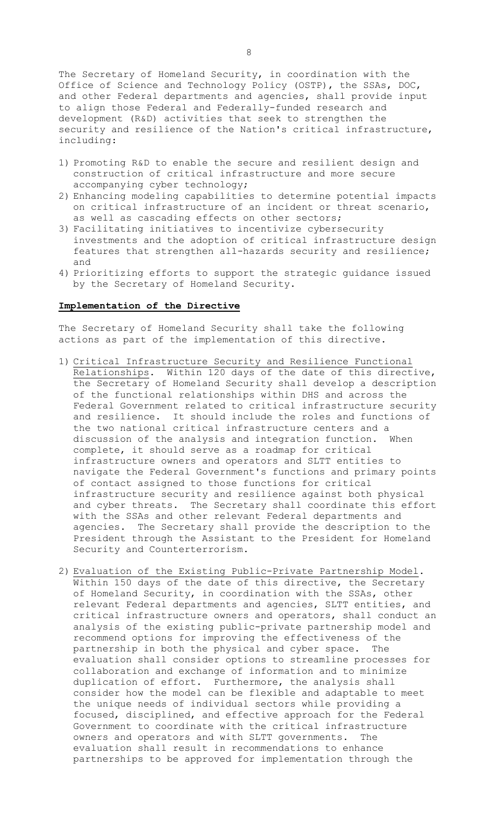The Secretary of Homeland Security, in coordination with the Office of Science and Technology Policy (OSTP), the SSAs, DOC, and other Federal departments and agencies, shall provide input to align those Federal and Federally-funded research and development (R&D) activities that seek to strengthen the security and resilience of the Nation's critical infrastructure, including:

- 1) Promoting R&D to enable the secure and resilient design and construction of critical infrastructure and more secure accompanying cyber technology;
- 2) Enhancing modeling capabilities to determine potential impacts on critical infrastructure of an incident or threat scenario, as well as cascading effects on other sectors;
- 3) Facilitating initiatives to incentivize cybersecurity investments and the adoption of critical infrastructure design features that strengthen all-hazards security and resilience; and
- 4) Prioritizing efforts to support the strategic guidance issued by the Secretary of Homeland Security.

#### **Implementation of the Directive**

The Secretary of Homeland Security shall take the following actions as part of the implementation of this directive.

- 1) Critical Infrastructure Security and Resilience Functional Relationships. Within 120 days of the date of this directive, the Secretary of Homeland Security shall develop a description of the functional relationships within DHS and across the Federal Government related to critical infrastructure security and resilience. It should include the roles and functions of the two national critical infrastructure centers and a discussion of the analysis and integration function. When complete, it should serve as a roadmap for critical infrastructure owners and operators and SLTT entities to navigate the Federal Government's functions and primary points of contact assigned to those functions for critical infrastructure security and resilience against both physical and cyber threats. The Secretary shall coordinate this effort with the SSAs and other relevant Federal departments and agencies. The Secretary shall provide the description to the President through the Assistant to the President for Homeland Security and Counterterrorism.
- 2) Evaluation of the Existing Public-Private Partnership Model. Within 150 days of the date of this directive, the Secretary of Homeland Security, in coordination with the SSAs, other relevant Federal departments and agencies, SLTT entities, and critical infrastructure owners and operators, shall conduct an analysis of the existing public-private partnership model and recommend options for improving the effectiveness of the partnership in both the physical and cyber space. The evaluation shall consider options to streamline processes for collaboration and exchange of information and to minimize duplication of effort. Furthermore, the analysis shall consider how the model can be flexible and adaptable to meet the unique needs of individual sectors while providing a focused, disciplined, and effective approach for the Federal Government to coordinate with the critical infrastructure owners and operators and with SLTT governments. The evaluation shall result in recommendations to enhance partnerships to be approved for implementation through the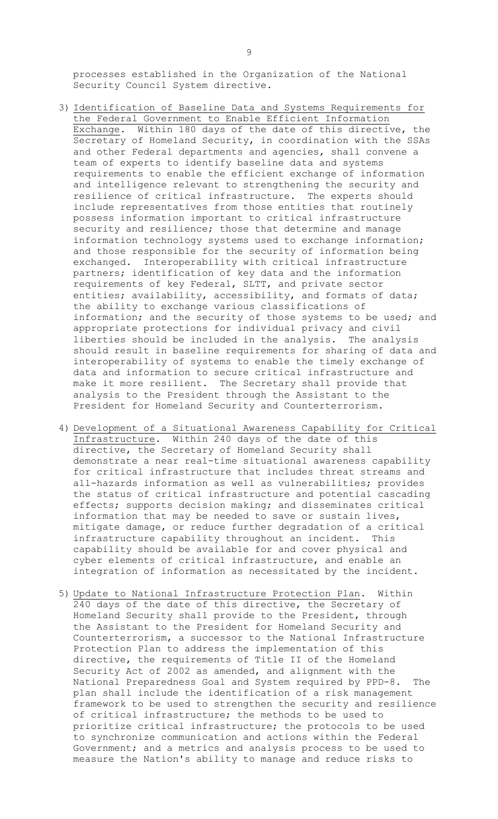processes established in the Organization of the National Security Council System directive.

- 3) Identification of Baseline Data and Systems Requirements for the Federal Government to Enable Efficient Information Exchange. Within 180 days of the date of this directive, the Secretary of Homeland Security, in coordination with the SSAs and other Federal departments and agencies, shall convene a team of experts to identify baseline data and systems requirements to enable the efficient exchange of information and intelligence relevant to strengthening the security and resilience of critical infrastructure. The experts should include representatives from those entities that routinely possess information important to critical infrastructure security and resilience; those that determine and manage information technology systems used to exchange information; and those responsible for the security of information being exchanged. Interoperability with critical infrastructure partners; identification of key data and the information requirements of key Federal, SLTT, and private sector entities; availability, accessibility, and formats of data; the ability to exchange various classifications of information; and the security of those systems to be used; and appropriate protections for individual privacy and civil liberties should be included in the analysis. The analysis should result in baseline requirements for sharing of data and interoperability of systems to enable the timely exchange of data and information to secure critical infrastructure and make it more resilient. The Secretary shall provide that analysis to the President through the Assistant to the President for Homeland Security and Counterterrorism.
- 4) Development of a Situational Awareness Capability for Critical Infrastructure. Within 240 days of the date of this directive, the Secretary of Homeland Security shall demonstrate a near real-time situational awareness capability for critical infrastructure that includes threat streams and all-hazards information as well as vulnerabilities; provides the status of critical infrastructure and potential cascading effects; supports decision making; and disseminates critical information that may be needed to save or sustain lives, mitigate damage, or reduce further degradation of a critical infrastructure capability throughout an incident. This capability should be available for and cover physical and cyber elements of critical infrastructure, and enable an integration of information as necessitated by the incident.
- 5) Update to National Infrastructure Protection Plan. Within 240 days of the date of this directive, the Secretary of Homeland Security shall provide to the President, through the Assistant to the President for Homeland Security and Counterterrorism, a successor to the National Infrastructure Protection Plan to address the implementation of this directive, the requirements of Title II of the Homeland Security Act of 2002 as amended, and alignment with the National Preparedness Goal and System required by PPD-8. The plan shall include the identification of a risk management framework to be used to strengthen the security and resilience of critical infrastructure; the methods to be used to prioritize critical infrastructure; the protocols to be used to synchronize communication and actions within the Federal Government; and a metrics and analysis process to be used to measure the Nation's ability to manage and reduce risks to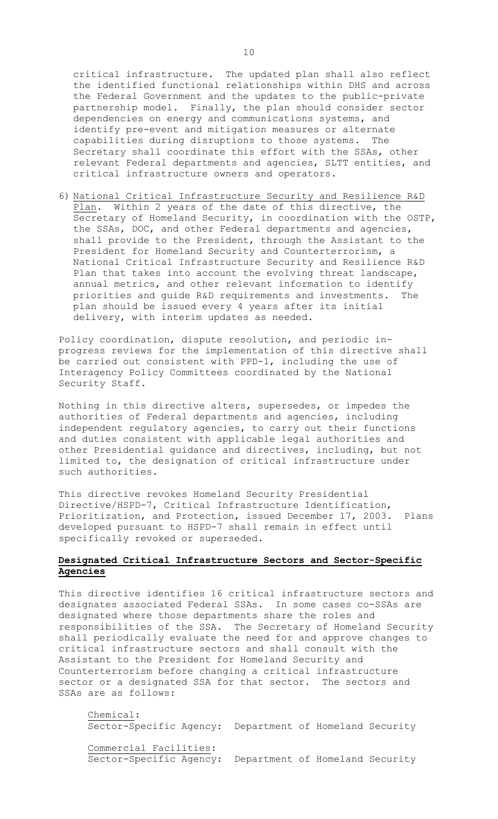critical infrastructure. The updated plan shall also reflect the identified functional relationships within DHS and across the Federal Government and the updates to the public-private partnership model. Finally, the plan should consider sector dependencies on energy and communications systems, and identify pre-event and mitigation measures or alternate capabilities during disruptions to those systems. The Secretary shall coordinate this effort with the SSAs, other relevant Federal departments and agencies, SLTT entities, and critical infrastructure owners and operators.

6) National Critical Infrastructure Security and Resilience R&D Plan. Within 2 years of the date of this directive, the Secretary of Homeland Security, in coordination with the OSTP, the SSAs, DOC, and other Federal departments and agencies, shall provide to the President, through the Assistant to the President for Homeland Security and Counterterrorism, a National Critical Infrastructure Security and Resilience R&D Plan that takes into account the evolving threat landscape, annual metrics, and other relevant information to identify priorities and guide R&D requirements and investments. The plan should be issued every 4 years after its initial delivery, with interim updates as needed.

Policy coordination, dispute resolution, and periodic inprogress reviews for the implementation of this directive shall be carried out consistent with PPD-1, including the use of Interagency Policy Committees coordinated by the National Security Staff.

Nothing in this directive alters, supersedes, or impedes the authorities of Federal departments and agencies, including independent regulatory agencies, to carry out their functions and duties consistent with applicable legal authorities and other Presidential guidance and directives, including, but not limited to, the designation of critical infrastructure under such authorities.

This directive revokes Homeland Security Presidential Directive/HSPD-7, Critical Infrastructure Identification, Prioritization, and Protection, issued December 17, 2003. Plans developed pursuant to HSPD-7 shall remain in effect until specifically revoked or superseded.

# **Designated Critical Infrastructure Sectors and Sector-Specific Agencies**

This directive identifies 16 critical infrastructure sectors and designates associated Federal SSAs. In some cases co-SSAs are designated where those departments share the roles and responsibilities of the SSA. The Secretary of Homeland Security shall periodically evaluate the need for and approve changes to critical infrastructure sectors and shall consult with the Assistant to the President for Homeland Security and Counterterrorism before changing a critical infrastructure sector or a designated SSA for that sector. The sectors and SSAs are as follows:

Chemical: Sector-Specific Agency: Department of Homeland Security

Commercial Facilities: Sector-Specific Agency: Department of Homeland Security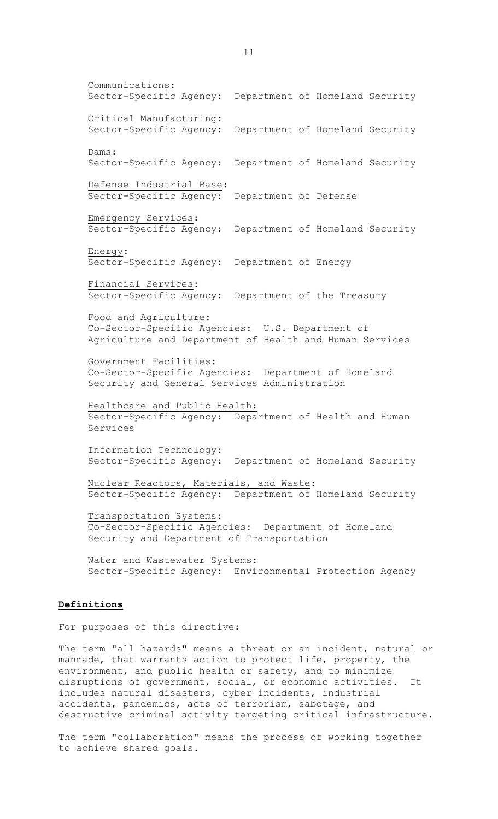Communications: Sector-Specific Agency: Department of Homeland Security Critical Manufacturing: Sector-Specific Agency: Department of Homeland Security Dams: Sector-Specific Agency: Department of Homeland Security Defense Industrial Base: Sector-Specific Agency: Department of Defense Emergency Services: Sector-Specific Agency: Department of Homeland Security Energy: Sector-Specific Agency: Department of Energy Financial Services: Sector-Specific Agency: Department of the Treasury Food and Agriculture: Co-Sector-Specific Agencies: U.S. Department of Agriculture and Department of Health and Human Services Government Facilities: Co-Sector-Specific Agencies: Department of Homeland Security and General Services Administration Healthcare and Public Health: Sector-Specific Agency: Department of Health and Human Services Information Technology: Sector-Specific Agency: Department of Homeland Security Nuclear Reactors, Materials, and Waste: Sector-Specific Agency: Department of Homeland Security Transportation Systems: Co-Sector-Specific Agencies: Department of Homeland Security and Department of Transportation Water and Wastewater Systems: Sector-Specific Agency: Environmental Protection Agency

# **Definitions**

For purposes of this directive:

The term "all hazards" means a threat or an incident, natural or manmade, that warrants action to protect life, property, the environment, and public health or safety, and to minimize disruptions of government, social, or economic activities. It includes natural disasters, cyber incidents, industrial accidents, pandemics, acts of terrorism, sabotage, and destructive criminal activity targeting critical infrastructure.

The term "collaboration" means the process of working together to achieve shared goals.

11